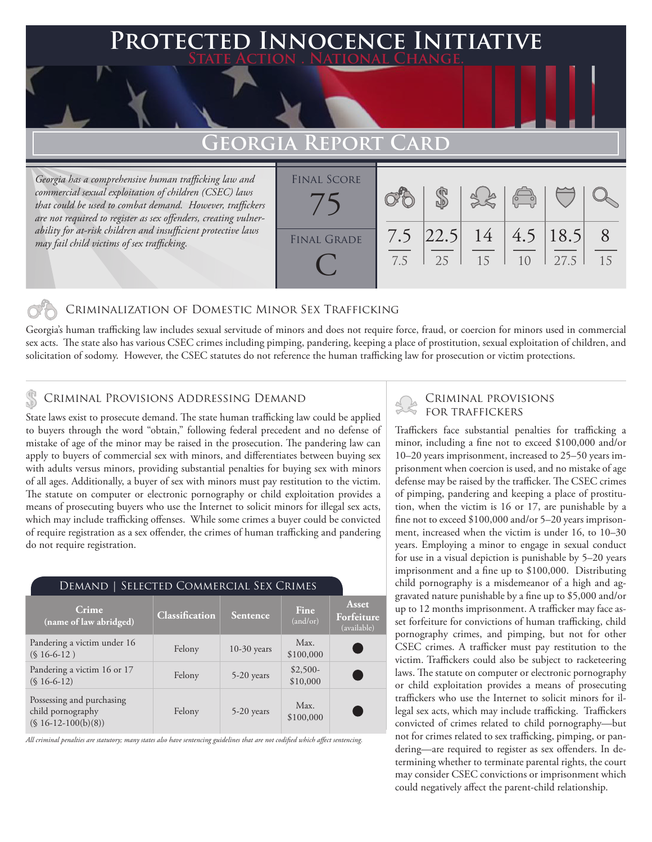### **PTED INNOCENCE INITIATIVE State Action . National Change.**

## **Georgia Report Card**

*Georgia has a comprehensive human trafficking law and commercial sexual exploitation of children (CSEC) laws that could be used to combat demand. However, traffickers are not required to register as sex offenders, creating vulnerability for at-risk children and insufficient protective laws may fail child victims of sex trafficking.*

|                    | --------   |    |                    |                                                |                      |    |
|--------------------|------------|----|--------------------|------------------------------------------------|----------------------|----|
| <b>FINAL SCORE</b> |            |    |                    | $\begin{pmatrix} 1 & 1 \\ 0 & 1 \end{pmatrix}$ |                      |    |
| <b>FINAL GRADE</b> | 7.5<br>7.5 | 25 | $ 22.5 $ 14<br>-15 | 10                                             | 4.5   18.5  <br>27.5 | 15 |

### Criminalization of Domestic Minor Sex Trafficking

Georgia's human trafficking law includes sexual servitude of minors and does not require force, fraud, or coercion for minors used in commercial sex acts. The state also has various CSEC crimes including pimping, pandering, keeping a place of prostitution, sexual exploitation of children, and solicitation of sodomy. However, the CSEC statutes do not reference the human trafficking law for prosecution or victim protections.

### Criminal Provisions Addressing Demand

State laws exist to prosecute demand. The state human trafficking law could be applied to buyers through the word "obtain," following federal precedent and no defense of mistake of age of the minor may be raised in the prosecution. The pandering law can apply to buyers of commercial sex with minors, and differentiates between buying sex with adults versus minors, providing substantial penalties for buying sex with minors of all ages. Additionally, a buyer of sex with minors must pay restitution to the victim. The statute on computer or electronic pornography or child exploitation provides a means of prosecuting buyers who use the Internet to solicit minors for illegal sex acts, which may include trafficking offenses. While some crimes a buyer could be convicted of require registration as a sex offender, the crimes of human trafficking and pandering do not require registration.

| DEMAND   SELECTED COMMERCIAL SEX CRIMES                                 |                |               |                       |                                    |  |  |  |  |
|-------------------------------------------------------------------------|----------------|---------------|-----------------------|------------------------------------|--|--|--|--|
| Crime<br>(name of law abridged)                                         | Classification | Sentence      | Fine<br>(and/or)      | Asset<br>Forfeiture<br>(available) |  |  |  |  |
| Pandering a victim under 16<br>$(S16-6-12)$                             | Felony         | $10-30$ years | Max.<br>\$100,000     |                                    |  |  |  |  |
| Pandering a victim 16 or 17<br>$(S16-6-12)$                             | Felony         | 5-20 years    | $$2,500-$<br>\$10,000 |                                    |  |  |  |  |
| Possessing and purchasing<br>child pornography<br>$(S 16-12-100(b)(8))$ | Felony         | $5-20$ years  | Max.<br>\$100,000     |                                    |  |  |  |  |

*All criminal penalties are statutory; many states also have sentencing guidelines that are not codified which affect sentencing.* 

# Criminal provisions

Traffickers face substantial penalties for trafficking a minor, including a fine not to exceed \$100,000 and/or 10–20 years imprisonment, increased to 25–50 years imprisonment when coercion is used, and no mistake of age defense may be raised by the trafficker. The CSEC crimes of pimping, pandering and keeping a place of prostitution, when the victim is 16 or 17, are punishable by a fine not to exceed \$100,000 and/or 5–20 years imprisonment, increased when the victim is under 16, to 10–30 years. Employing a minor to engage in sexual conduct for use in a visual depiction is punishable by 5–20 years imprisonment and a fine up to \$100,000. Distributing child pornography is a misdemeanor of a high and aggravated nature punishable by a fine up to \$5,000 and/or up to 12 months imprisonment. A trafficker may face asset forfeiture for convictions of human trafficking, child pornography crimes, and pimping, but not for other CSEC crimes. A trafficker must pay restitution to the victim. Traffickers could also be subject to racketeering laws. The statute on computer or electronic pornography or child exploitation provides a means of prosecuting traffickers who use the Internet to solicit minors for illegal sex acts, which may include trafficking. Traffickers convicted of crimes related to child pornography—but not for crimes related to sex trafficking, pimping, or pandering—are required to register as sex offenders. In determining whether to terminate parental rights, the court may consider CSEC convictions or imprisonment which could negatively affect the parent-child relationship.